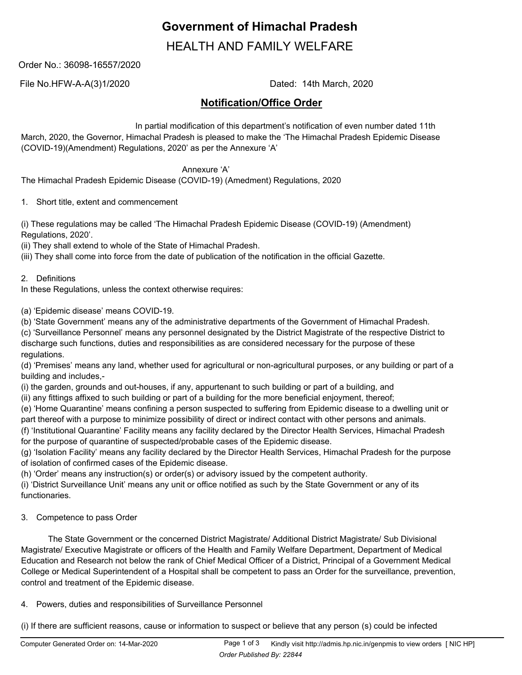# **Government of Himachal Pradesh**

HEALTH AND FAMILY WELFARE

Order No.: 36098-16557/2020

File No.HFW-A-A(3)1/2020 Dated: 14th March, 2020

# **Notification/Office Order**

 In partial modification of this department's notification of even number dated 11th March, 2020, the Governor, Himachal Pradesh is pleased to make the 'The Himachal Pradesh Epidemic Disease (COVID-19)(Amendment) Regulations, 2020' as per the Annexure 'A'

Annexure 'A'

The Himachal Pradesh Epidemic Disease (COVID-19) (Amedment) Regulations, 2020

1. Short title, extent and commencement

(i) These regulations may be called 'The Himachal Pradesh Epidemic Disease (COVID-19) (Amendment) Regulations, 2020'.

(ii) They shall extend to whole of the State of Himachal Pradesh.

(iii) They shall come into force from the date of publication of the notification in the official Gazette.

2. Definitions

In these Regulations, unless the context otherwise requires:

(a) 'Epidemic disease' means COVID-19.

(b) 'State Government' means any of the administrative departments of the Government of Himachal Pradesh.

(c) 'Surveillance Personnel' means any personnel designated by the District Magistrate of the respective District to discharge such functions, duties and responsibilities as are considered necessary for the purpose of these regulations.

(d) 'Premises' means any land, whether used for agricultural or non-agricultural purposes, or any building or part of a building and includes,-

(i) the garden, grounds and out-houses, if any, appurtenant to such building or part of a building, and

(ii) any fittings affixed to such building or part of a building for the more beneficial enjoyment, thereof;

(e) 'Home Quarantine' means confining a person suspected to suffering from Epidemic disease to a dwelling unit or part thereof with a purpose to minimize possibility of direct or indirect contact with other persons and animals.

(f) 'Institutional Quarantine' Facility means any facility declared by the Director Health Services, Himachal Pradesh for the purpose of quarantine of suspected/probable cases of the Epidemic disease.

(g) 'Isolation Facility' means any facility declared by the Director Health Services, Himachal Pradesh for the purpose of isolation of confirmed cases of the Epidemic disease.

(h) 'Order' means any instruction(s) or order(s) or advisory issued by the competent authority.

(i) 'District Surveillance Unit' means any unit or office notified as such by the State Government or any of its functionaries.

3. Competence to pass Order

 The State Government or the concerned District Magistrate/ Additional District Magistrate/ Sub Divisional Magistrate/ Executive Magistrate or officers of the Health and Family Welfare Department, Department of Medical Education and Research not below the rank of Chief Medical Officer of a District, Principal of a Government Medical College or Medical Superintendent of a Hospital shall be competent to pass an Order for the surveillance, prevention, control and treatment of the Epidemic disease.

# 4. Powers, duties and responsibilities of Surveillance Personnel

(i) If there are sufficient reasons, cause or information to suspect or believe that any person (s) could be infected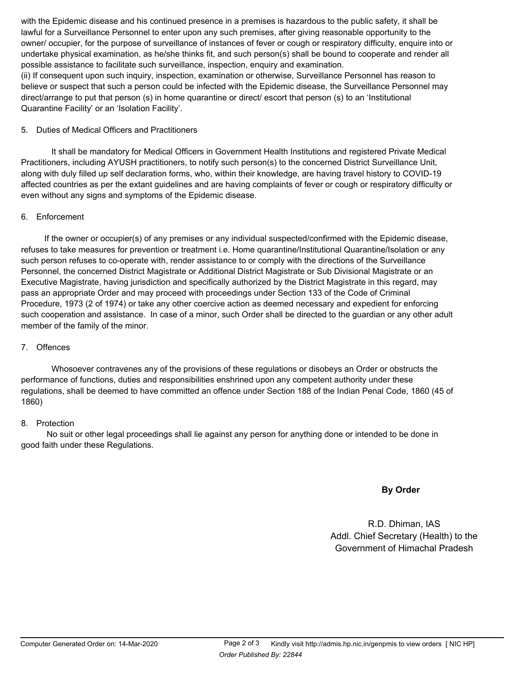with the Epidemic disease and his continued presence in a premises is hazardous to the public safety, it shall be lawful for a Surveillance Personnel to enter upon any such premises, after giving reasonable opportunity to the owner/ occupier, for the purpose of surveillance of instances of fever or cough or respiratory difficulty, enquire into or undertake physical examination, as he/she thinks fit, and such person(s) shall be bound to cooperate and render all possible assistance to facilitate such surveillance, inspection, enquiry and examination.

(ii) If consequent upon such inquiry, inspection, examination or otherwise, Surveillance Personnel has reason to believe or suspect that such a person could be infected with the Epidemic disease, the Surveillance Personnel may direct/arrange to put that person (s) in home quarantine or direct/ escort that person (s) to an 'Institutional Quarantine Facility' or an 'Isolation Facility'.

#### 5. Duties of Medical Officers and Practitioners

 It shall be mandatory for Medical Officers in Government Health Institutions and registered Private Medical Practitioners, including AYUSH practitioners, to notify such person(s) to the concerned District Surveillance Unit, along with duly filled up self declaration forms, who, within their knowledge, are having travel history to COVID-19 affected countries as per the extant guidelines and are having complaints of fever or cough or respiratory difficulty or even without any signs and symptoms of the Epidemic disease.

#### 6. Enforcement

 If the owner or occupier(s) of any premises or any individual suspected/confirmed with the Epidemic disease, refuses to take measures for prevention or treatment i.e. Home quarantine/Institutional Quarantine/Isolation or any such person refuses to co-operate with, render assistance to or comply with the directions of the Surveillance Personnel, the concerned District Magistrate or Additional District Magistrate or Sub Divisional Magistrate or an Executive Magistrate, having jurisdiction and specifically authorized by the District Magistrate in this regard, may pass an appropriate Order and may proceed with proceedings under Section 133 of the Code of Criminal Procedure, 1973 (2 of 1974) or take any other coercive action as deemed necessary and expedient for enforcing such cooperation and assistance. In case of a minor, such Order shall be directed to the guardian or any other adult member of the family of the minor.

# 7. Offences

 Whosoever contravenes any of the provisions of these regulations or disobeys an Order or obstructs the performance of functions, duties and responsibilities enshrined upon any competent authority under these regulations, shall be deemed to have committed an offence under Section 188 of the Indian Penal Code, 1860 (45 of 1860)

#### 8. Protection

 No suit or other legal proceedings shall lie against any person for anything done or intended to be done in good faith under these Regulations.

# **By Order**

R.D. Dhiman, IAS Addl. Chief Secretary (Health) to the Government of Himachal Pradesh